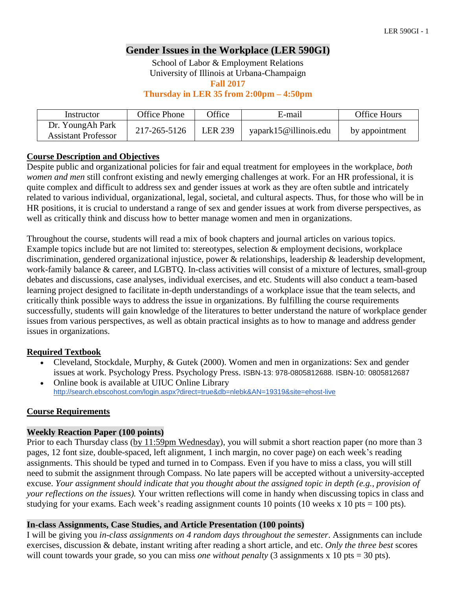# **Gender Issues in the Workplace (LER 590GI)**

School of Labor & Employment Relations University of Illinois at Urbana-Champaign

**Fall 2017**

**Thursday in LER 35 from 2:00pm – 4:50pm**

| Instructor                                     | Office Phone | <b>Office</b>  | E-mail                | Office Hours   |
|------------------------------------------------|--------------|----------------|-----------------------|----------------|
| Dr. YoungAh Park<br><b>Assistant Professor</b> | 217-265-5126 | <b>LER 239</b> | yapark15@illinois.edu | by appointment |

# **Course Description and Objectives**

Despite public and organizational policies for fair and equal treatment for employees in the workplace, *both women and men* still confront existing and newly emerging challenges at work. For an HR professional, it is quite complex and difficult to address sex and gender issues at work as they are often subtle and intricately related to various individual, organizational, legal, societal, and cultural aspects. Thus, for those who will be in HR positions, it is crucial to understand a range of sex and gender issues at work from diverse perspectives, as well as critically think and discuss how to better manage women and men in organizations.

Throughout the course, students will read a mix of book chapters and journal articles on various topics. Example topics include but are not limited to: stereotypes, selection & employment decisions, workplace discrimination, gendered organizational injustice, power & relationships, leadership & leadership development, work-family balance & career, and LGBTQ. In-class activities will consist of a mixture of lectures, small-group debates and discussions, case analyses, individual exercises, and etc. Students will also conduct a team-based learning project designed to facilitate in-depth understandings of a workplace issue that the team selects, and critically think possible ways to address the issue in organizations. By fulfilling the course requirements successfully, students will gain knowledge of the literatures to better understand the nature of workplace gender issues from various perspectives, as well as obtain practical insights as to how to manage and address gender issues in organizations.

# **Required Textbook**

- Cleveland, Stockdale, Murphy, & Gutek (2000). Women and men in organizations: Sex and gender issues at work. Psychology Press. Psychology Press. ISBN-13: 978-0805812688. ISBN-10: 0805812687
- Online book is available at UIUC Online Library <http://search.ebscohost.com/login.aspx?direct=true&db=nlebk&AN=19319&site=ehost-live>

#### **Course Requirements**

#### **Weekly Reaction Paper (100 points)**

Prior to each Thursday class (by 11:59pm Wednesday), you will submit a short reaction paper (no more than 3 pages, 12 font size, double-spaced, left alignment, 1 inch margin, no cover page) on each week's reading assignments. This should be typed and turned in to Compass. Even if you have to miss a class, you will still need to submit the assignment through Compass. No late papers will be accepted without a university-accepted excuse. *Your assignment should indicate that you thought about the assigned topic in depth (e.g., provision of your reflections on the issues).* Your written reflections will come in handy when discussing topics in class and studying for your exams. Each week's reading assignment counts 10 points (10 weeks x 10 pts = 100 pts).

#### **In-class Assignments, Case Studies, and Article Presentation (100 points)**

I will be giving you *in-class assignments on 4 random days throughout the semester*. Assignments can include exercises, discussion & debate, instant writing after reading a short article, and etc. *Only the three best* scores will count towards your grade, so you can miss *one without penalty* (3 assignments x 10 pts = 30 pts).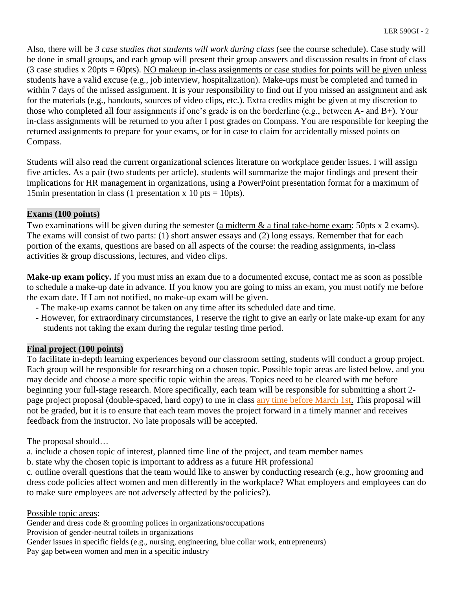Also, there will be *3 case studies that students will work during class* (see the course schedule). Case study will be done in small groups, and each group will present their group answers and discussion results in front of class (3 case studies x 20pts = 60pts). NO makeup in-class assignments or case studies for points will be given unless students have a valid excuse (e.g., job interview, hospitalization). Make-ups must be completed and turned in within 7 days of the missed assignment. It is your responsibility to find out if you missed an assignment and ask for the materials (e.g., handouts, sources of video clips, etc.). Extra credits might be given at my discretion to those who completed all four assignments if one's grade is on the borderline (e.g., between A- and B+). Your in-class assignments will be returned to you after I post grades on Compass. You are responsible for keeping the returned assignments to prepare for your exams, or for in case to claim for accidentally missed points on Compass.

Students will also read the current organizational sciences literature on workplace gender issues. I will assign five articles. As a pair (two students per article), students will summarize the major findings and present their implications for HR management in organizations, using a PowerPoint presentation format for a maximum of 15min presentation in class (1 presentation x 10 pts = 10pts).

# **Exams (100 points)**

Two examinations will be given during the semester (a midterm  $\&$  a final take-home exam: 50pts x 2 exams). The exams will consist of two parts: (1) short answer essays and (2) long essays. Remember that for each portion of the exams, questions are based on all aspects of the course: the reading assignments, in-class activities & group discussions, lectures, and video clips.

**Make-up exam policy.** If you must miss an exam due to a documented excuse, contact me as soon as possible to schedule a make-up date in advance. If you know you are going to miss an exam, you must notify me before the exam date. If I am not notified, no make-up exam will be given.

- The make-up exams cannot be taken on any time after its scheduled date and time.
- However, for extraordinary circumstances, I reserve the right to give an early or late make-up exam for any students not taking the exam during the regular testing time period.

# **Final project (100 points)**

To facilitate in-depth learning experiences beyond our classroom setting, students will conduct a group project. Each group will be responsible for researching on a chosen topic. Possible topic areas are listed below, and you may decide and choose a more specific topic within the areas. Topics need to be cleared with me before beginning your full-stage research. More specifically, each team will be responsible for submitting a short 2 page project proposal (double-spaced, hard copy) to me in class any time before March 1st. This proposal will not be graded, but it is to ensure that each team moves the project forward in a timely manner and receives feedback from the instructor. No late proposals will be accepted.

The proposal should…

a. include a chosen topic of interest, planned time line of the project, and team member names

b. state why the chosen topic is important to address as a future HR professional

c. outline overall questions that the team would like to answer by conducting research (e.g., how grooming and dress code policies affect women and men differently in the workplace? What employers and employees can do to make sure employees are not adversely affected by the policies?).

Possible topic areas:

Gender and dress code & grooming polices in organizations/occupations

Provision of gender-neutral toilets in organizations

Gender issues in specific fields (e.g., nursing, engineering, blue collar work, entrepreneurs) Pay gap between women and men in a specific industry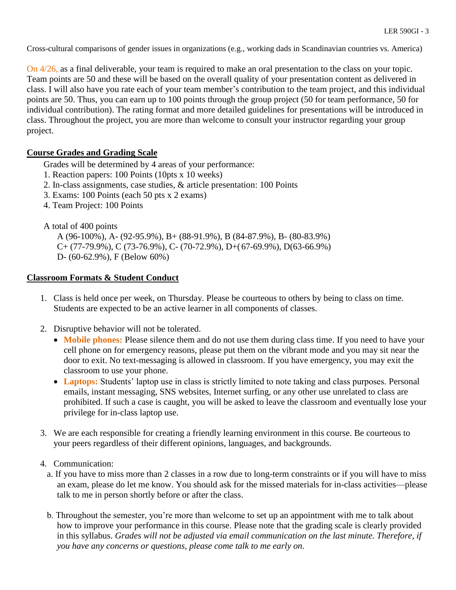Cross-cultural comparisons of gender issues in organizations (e.g., working dads in Scandinavian countries vs. America)

On 4/26, as a final deliverable, your team is required to make an oral presentation to the class on your topic. Team points are 50 and these will be based on the overall quality of your presentation content as delivered in class. I will also have you rate each of your team member's contribution to the team project, and this individual points are 50. Thus, you can earn up to 100 points through the group project (50 for team performance, 50 for individual contribution). The rating format and more detailed guidelines for presentations will be introduced in class. Throughout the project, you are more than welcome to consult your instructor regarding your group project.

#### **Course Grades and Grading Scale**

Grades will be determined by 4 areas of your performance:

- 1. Reaction papers: 100 Points (10pts x 10 weeks)
- 2. In-class assignments, case studies, & article presentation: 100 Points
- 3. Exams: 100 Points (each 50 pts x 2 exams)
- 4. Team Project: 100 Points

#### A total of 400 points

A (96-100%), A- (92-95.9%), B+ (88-91.9%), B (84-87.9%), B- (80-83.9%)  $C+(77-79.9\%)$ , C (73-76.9%), C- (70-72.9%), D+(67-69.9%), D(63-66.9%) D- (60-62.9%), F (Below 60%)

#### **Classroom Formats & Student Conduct**

- 1. Class is held once per week, on Thursday. Please be courteous to others by being to class on time. Students are expected to be an active learner in all components of classes.
- 2. Disruptive behavior will not be tolerated.
	- **Mobile phones:** Please silence them and do not use them during class time. If you need to have your cell phone on for emergency reasons, please put them on the vibrant mode and you may sit near the door to exit. No text-messaging is allowed in classroom. If you have emergency, you may exit the classroom to use your phone.
	- **Laptops:** Students' laptop use in class is strictly limited to note taking and class purposes. Personal emails, instant messaging, SNS websites, Internet surfing, or any other use unrelated to class are prohibited. If such a case is caught, you will be asked to leave the classroom and eventually lose your privilege for in-class laptop use.
- 3. We are each responsible for creating a friendly learning environment in this course. Be courteous to your peers regardless of their different opinions, languages, and backgrounds.
- 4. Communication:
	- a. If you have to miss more than 2 classes in a row due to long-term constraints or if you will have to miss an exam, please do let me know. You should ask for the missed materials for in-class activities—please talk to me in person shortly before or after the class.
	- b. Throughout the semester, you're more than welcome to set up an appointment with me to talk about how to improve your performance in this course. Please note that the grading scale is clearly provided in this syllabus. *Grades will not be adjusted via email communication on the last minute. Therefore, if you have any concerns or questions, please come talk to me early on.*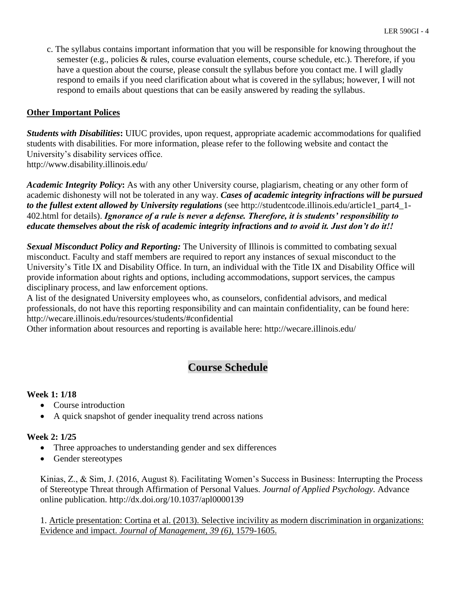c. The syllabus contains important information that you will be responsible for knowing throughout the semester (e.g., policies & rules, course evaluation elements, course schedule, etc.). Therefore, if you have a question about the course, please consult the syllabus before you contact me. I will gladly respond to emails if you need clarification about what is covered in the syllabus; however, I will not respond to emails about questions that can be easily answered by reading the syllabus.

# **Other Important Polices**

*Students with Disabilities***:** UIUC provides, upon request, appropriate academic accommodations for qualified students with disabilities. For more information, please refer to the following website and contact the University's disability services office. http://www.disability.illinois.edu/

*Academic Integrity Policy***:** As with any other University course, plagiarism, cheating or any other form of academic dishonesty will not be tolerated in any way. *Cases of academic integrity infractions will be pursued to the fullest extent allowed by University regulations* (see http://studentcode.illinois.edu/article1\_part4\_1- 402.html for details). *Ignorance of a rule is never a defense. Therefore, it is students' responsibility to educate themselves about the risk of academic integrity infractions and to avoid it. Just don't do it!!*

*Sexual Misconduct Policy and Reporting:* The University of Illinois is committed to combating sexual misconduct. Faculty and staff members are required to report any instances of sexual misconduct to the University's Title IX and Disability Office. In turn, an individual with the Title IX and Disability Office will provide information about rights and options, including accommodations, support services, the campus disciplinary process, and law enforcement options.

A list of the designated University employees who, as counselors, confidential advisors, and medical professionals, do not have this reporting responsibility and can maintain confidentiality, can be found here: http://wecare.illinois.edu/resources/students/#confidential

Other information about resources and reporting is available here: http://wecare.illinois.edu/

# **Course Schedule**

#### **Week 1: 1/18**

- Course introduction
- A quick snapshot of gender inequality trend across nations

#### **Week 2: 1/25**

- Three approaches to understanding gender and sex differences
- Gender stereotypes

Kinias, Z., & Sim, J. (2016, August 8). Facilitating Women's Success in Business: Interrupting the Process of Stereotype Threat through Affirmation of Personal Values. *Journal of Applied Psychology.* Advance online publication. http://dx.doi.org/10.1037/apl0000139

1. Article presentation: Cortina et al. (2013). Selective incivility as modern discrimination in organizations: Evidence and impact. *Journal of Management, 39 (6),* 1579-1605.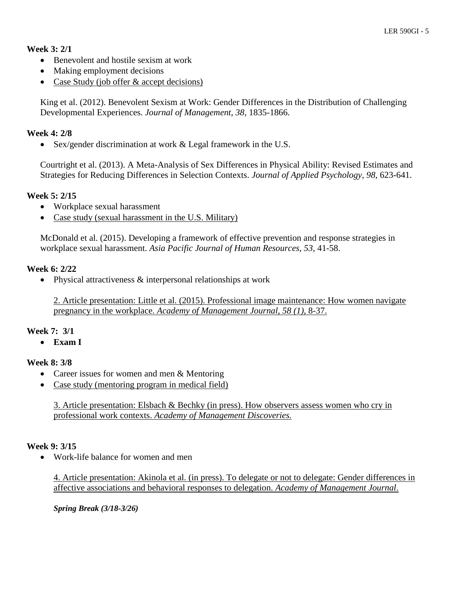# **Week 3: 2/1**

- Benevolent and hostile sexism at work
- Making employment decisions
- Case Study (job offer & accept decisions)

King et al. (2012). Benevolent Sexism at Work: Gender Differences in the Distribution of Challenging Developmental Experiences. *Journal of Management, 38,* 1835-1866.

# **Week 4: 2/8**

• Sex/gender discrimination at work & Legal framework in the U.S.

Courtright et al. (2013). A Meta-Analysis of Sex Differences in Physical Ability: Revised Estimates and Strategies for Reducing Differences in Selection Contexts. *Journal of Applied Psychology, 98,* 623-641.

# **Week 5: 2/15**

- Workplace sexual harassment
- Case study (sexual harassment in the U.S. Military)

McDonald et al. (2015). Developing a framework of effective prevention and response strategies in workplace sexual harassment. *Asia Pacific Journal of Human Resources, 53,* 41-58.

# **Week 6: 2/22**

• Physical attractiveness  $\&$  interpersonal relationships at work

2. Article presentation: Little et al. (2015). Professional image maintenance: How women navigate pregnancy in the workplace. *Academy of Management Journal, 58 (1),* 8-37.

#### **Week 7: 3/1**

**Exam I**

# **Week 8: 3/8**

- Career issues for women and men & Mentoring
- Case study (mentoring program in medical field)

3. Article presentation: Elsbach & Bechky (in press). How observers assess women who cry in professional work contexts. *Academy of Management Discoveries.*

#### **Week 9: 3/15**

Work-life balance for women and men

4. Article presentation: Akinola et al. (in press). To delegate or not to delegate: Gender differences in affective associations and behavioral responses to delegation. *Academy of Management Journal*.

*Spring Break (3/18-3/26)*